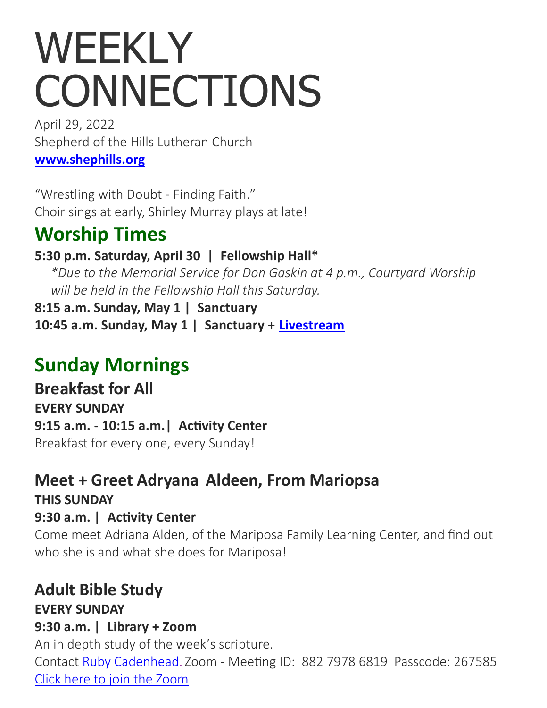# WEEKLY **CONNECTIONS**

April 29, 2022 Shepherd of the Hills Lutheran Church **[www.shephills.org](http://www.shephills.org)**

"Wrestling with Doubt - Finding Faith." Choir sings at early, Shirley Murray plays at late!

# **Worship Times**

#### **5:30 p.m. Saturday, April 30 | Fellowship Hall\***

*\*Due to the Memorial Service for Don Gaskin at 4 p.m., Courtyard Worship will be held in the Fellowship Hall this Saturday.*

**8:15 a.m. Sunday, May 1 | Sanctuary 10:45 a.m. Sunday, May 1 | Sanctuary + [Livestream](http://www.shephills.org/watch)**

# **Sunday Mornings**

**Breakfast for All EVERY SUNDAY 9:15 a.m. - 10:15 a.m.| Activity Center** Breakfast for every one, every Sunday!

### **Meet + Greet Adryana Aldeen, From Mariopsa THIS SUNDAY 9:30 a.m. | Activity Center**

Come meet Adriana Alden, of the Mariposa Family Learning Center, and find out who she is and what she does for Mariposa!

#### **Adult Bible Study EVERY SUNDAY**

#### **9:30 a.m. | Library + Zoom**

An in depth study of the week's scripture. Contact [Ruby Cadenhead.](mailto:rubies61@gmail.com) Zoom - Meeting ID: 882 7978 6819 Passcode: 267585 [Click here to join the Zoom](https://us02web.zoom.us/j/88279786819?pwd=Uytzc1NsT0xCWlM5dnVCMlBFZ1djUT09)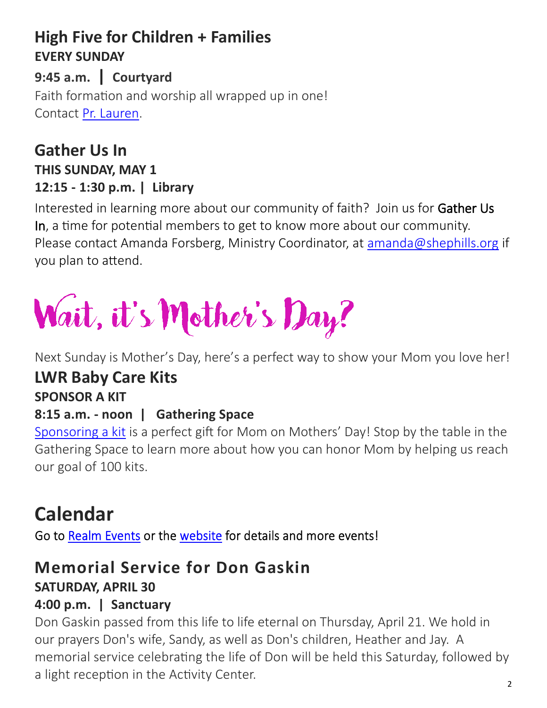## **High Five for Children + Families EVERY SUNDAY**

**9:45 a.m. | Courtyard**  Faith formation and worship all wrapped up in one! Contact [Pr. Lauren.](mailto:lauren@shephills.org)

#### **Gather Us In THIS SUNDAY, MAY 1 12:15 - 1:30 p.m. | Library**

Interested in learning more about our community of faith? Join us for Gather Us In, a time for potential members to get to know more about our community. Please contact Amanda Forsberg, Ministry Coordinator, at [amanda@shephills.org](mailto:amanda@shephills.org) if you plan to attend.

# Wait, it's Mother's Day?

Next Sunday is Mother's Day, here's a perfect way to show your Mom you love her!

# **LWR Baby Care Kits**

# **SPONSOR A KIT**

#### **8:15 a.m. - noon | Gathering Space**

[Sponsoring a kit](https://onrealm.org/shephills/give/babycare-lwr) is a perfect gift for Mom on Mothers' Day! Stop by the table in the Gathering Space to learn more about how you can honor Mom by helping us reach our goal of 100 kits.

# **Calendar**

Go to Realm Events or the website for details and more events!

# **Memorial Service for Don Gaskin**

#### **SATURDAY, APRIL 30**

#### **4:00 p.m. | Sanctuary**

Don Gaskin passed from this life to life eternal on Thursday, April 21. We hold in our prayers Don's wife, Sandy, as well as Don's children, Heather and Jay. A memorial service celebrating the life of Don will be held this Saturday, followed by a light reception in the Activity Center.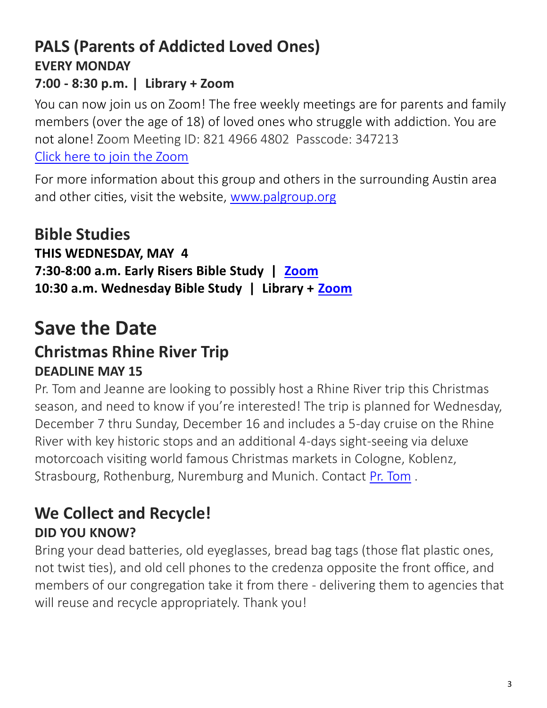# **PALS (Parents of Addicted Loved Ones) EVERY MONDAY**

#### **7:00 - 8:30 p.m. | Library + Zoom**

You can now join us on Zoom! The free weekly meetings are for parents and family members (over the age of 18) of loved ones who struggle with addiction. You are not alone! Zoom Meeting ID: 821 4966 4802 Passcode: 347213 [Click here to join the Zoom](https://us02web.zoom.us/j/82149664802?pwd=UW1Tc3NOdEpQbXBSQlZWY0NMZ1J0QT09)

For more information about this group and others in the surrounding Austin area and other cities, visit the website, [www.palgroup.org](http://www.palgroup.org)

#### **Bible Studies THIS WEDNESDAY, MAY 4 7:30-8:00 a.m. Early Risers Bible Study | [Zoom](https://us02web.zoom.us/j/88431433954?pwd=T2g1RG1JRk5xNUpEZ2VHd0FNUHFadz09) 10:30 a.m. Wednesday Bible Study | Library + [Zoom](https://us02web.zoom.us/j/83923102323?pwd=YTk4UFBjWWNjU1YzenJqeTNMaE0yQT09)**

# **Save the Date Christmas Rhine River Trip DEADLINE MAY 15**

Pr. Tom and Jeanne are looking to possibly host a Rhine River trip this Christmas season, and need to know if you're interested! The trip is planned for Wednesday, December 7 thru Sunday, December 16 and includes a 5-day cruise on the Rhine River with key historic stops and an additional 4-days sight-seeing via deluxe motorcoach visiting world famous Christmas markets in Cologne, Koblenz, Strasbourg, Rothenburg, Nuremburg and Munich. Contact [Pr. Tom](mailto:tom@shephills.org) .

# **We Collect and Recycle! DID YOU KNOW?**

Bring your dead batteries, old eyeglasses, bread bag tags (those flat plastic ones, not twist ties), and old cell phones to the credenza opposite the front office, and members of our congregation take it from there - delivering them to agencies that will reuse and recycle appropriately. Thank you!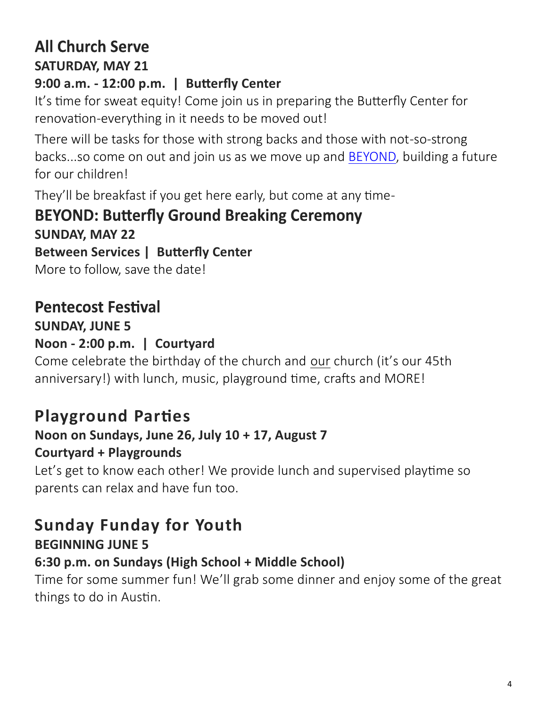## **All Church Serve SATURDAY, MAY 21**

#### **9:00 a.m. - 12:00 p.m. | Butterfly Center**

It's time for sweat equity! Come join us in preparing the Butterfly Center for renovation-everything in it needs to be moved out!

There will be tasks for those with strong backs and those with not-so-strong backs...so come on out and join us as we move up and [BEYOND,](https://shephills.org/beyond/) building a future for our children!

They'll be breakfast if you get here early, but come at any time-

# **BEYOND: Butterfly Ground Breaking Ceremony**

**SUNDAY, MAY 22 Between Services | Butterfly Center** More to follow, save the date!

**Pentecost Festival** 

**SUNDAY, JUNE 5**

## **Noon - 2:00 p.m. | Courtyard**

Come celebrate the birthday of the church and our church (it's our 45th anniversary!) with lunch, music, playground time, crafts and MORE!

# **Playground Parties**

#### **Noon on Sundays, June 26, July 10 + 17, August 7 Courtyard + Playgrounds**

Let's get to know each other! We provide lunch and supervised playtime so parents can relax and have fun too.

## **Sunday Funday for Youth BEGINNING JUNE 5**

### **6:30 p.m. on Sundays (High School + Middle School)**

Time for some summer fun! We'll grab some dinner and enjoy some of the great things to do in Austin.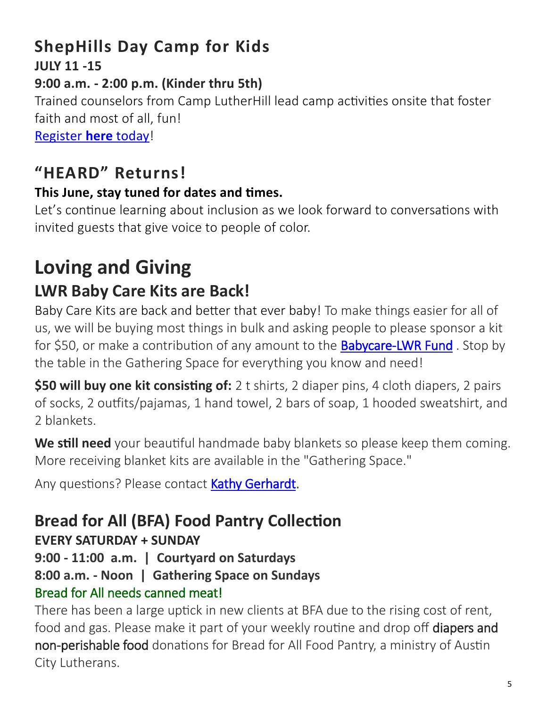### **ShepHills Day Camp for Kids JULY 11 -15**

#### **9:00 a.m. - 2:00 p.m. (Kinder thru 5th)**

Trained counselors from Camp LutherHill lead camp activities onsite that foster faith and most of all, fun!

[Register](https://onrealm.org/shephills/PublicRegistrations/Event?linkString=YTNlZGFiMzItNDVhYi00ZGEyLTkxMDAtYWU0NjAxNWM5NzYx) **here** today!

# **"HEARD" Returns!**

#### **This June, stay tuned for dates and times.**

Let's continue learning about inclusion as we look forward to conversations with invited guests that give voice to people of color.

# **Loving and Giving LWR Baby Care Kits are Back!**

Baby Care Kits are back and better that ever baby! To make things easier for all of us, we will be buying most things in bulk and asking people to please sponsor a kit for \$50, or make a contribution of any amount to the **Babycare-[LWR Fund](https://onrealm.org/shephills/give/babycare-lwr)**. Stop by the table in the Gathering Space for everything you know and need!

**\$50 will buy one kit consisting of:** 2 t shirts, 2 diaper pins, 4 cloth diapers, 2 pairs of socks, 2 outfits/pajamas, 1 hand towel, 2 bars of soap, 1 hooded sweatshirt, and 2 blankets.

**We still need** your beautiful handmade baby blankets so please keep them coming. More receiving blanket kits are available in the "Gathering Space."

Any questions? Please contact [Kathy Gerhardt.](mailto:kathnmark@gmail.com)

# **Bread for All (BFA) Food Pantry Collection**

**EVERY SATURDAY + SUNDAY**

**9:00 - 11:00 a.m. | Courtyard on Saturdays**

# **8:00 a.m. - Noon | Gathering Space on Sundays**

#### Bread for All needs canned meat!

There has been a large uptick in new clients at BFA due to the rising cost of rent, food and gas. Please make it part of your weekly routine and drop off diapers and non-perishable food donations for Bread for All Food Pantry, a ministry of Austin City Lutherans.